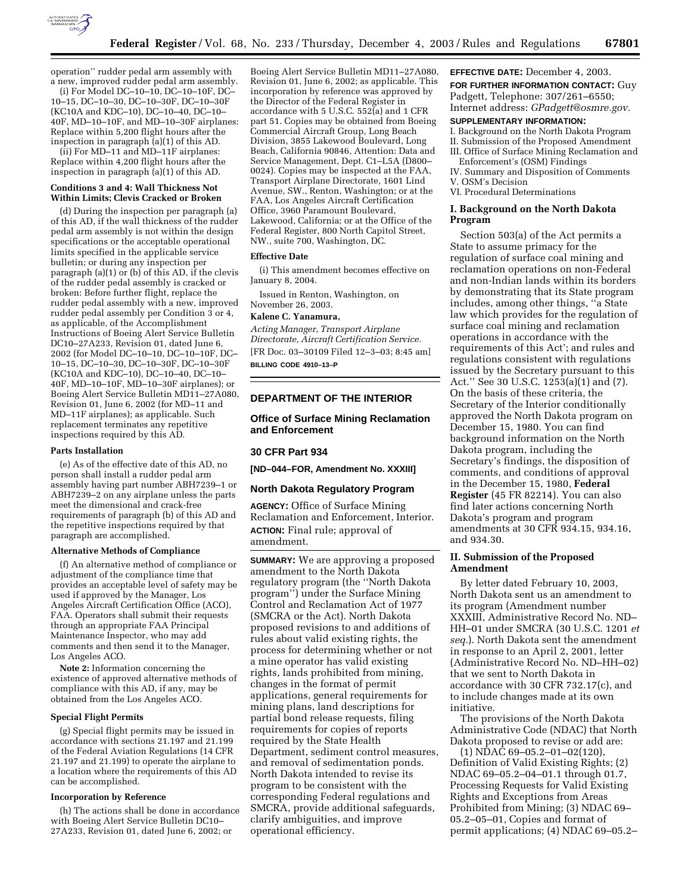

operation'' rudder pedal arm assembly with a new, improved rudder pedal arm assembly.

(i) For Model DC–10–10, DC–10–10F, DC– 10–15, DC–10–30, DC–10–30F, DC–10–30F (KC10A and KDC–10), DC–10–40, DC–10– 40F, MD–10–10F, and MD–10–30F airplanes: Replace within 5,200 flight hours after the inspection in paragraph (a)(1) of this AD.

(ii) For MD–11 and MD–11F airplanes: Replace within 4,200 flight hours after the inspection in paragraph (a)(1) of this AD.

### **Conditions 3 and 4: Wall Thickness Not Within Limits; Clevis Cracked or Broken**

(d) During the inspection per paragraph (a) of this AD, if the wall thickness of the rudder pedal arm assembly is not within the design specifications or the acceptable operational limits specified in the applicable service bulletin; or during any inspection per paragraph (a)(1) or (b) of this AD, if the clevis of the rudder pedal assembly is cracked or broken: Before further flight, replace the rudder pedal assembly with a new, improved rudder pedal assembly per Condition 3 or 4, as applicable, of the Accomplishment Instructions of Boeing Alert Service Bulletin DC10–27A233, Revision 01, dated June 6, 2002 (for Model DC–10–10, DC–10–10F, DC– 10–15, DC–10–30, DC–10–30F, DC–10–30F (KC10A and KDC–10), DC–10–40, DC–10– 40F, MD–10–10F, MD–10–30F airplanes); or Boeing Alert Service Bulletin MD11–27A080, Revision 01, June 6, 2002 (for MD–11 and MD–11F airplanes); as applicable. Such replacement terminates any repetitive inspections required by this AD.

## **Parts Installation**

(e) As of the effective date of this AD, no person shall install a rudder pedal arm assembly having part number ABH7239–1 or ABH7239–2 on any airplane unless the parts meet the dimensional and crack-free requirements of paragraph (b) of this AD and the repetitive inspections required by that paragraph are accomplished.

#### **Alternative Methods of Compliance**

(f) An alternative method of compliance or adjustment of the compliance time that provides an acceptable level of safety may be used if approved by the Manager, Los Angeles Aircraft Certification Office (ACO), FAA. Operators shall submit their requests through an appropriate FAA Principal Maintenance Inspector, who may add comments and then send it to the Manager, Los Angeles ACO.

**Note 2:** Information concerning the existence of approved alternative methods of compliance with this AD, if any, may be obtained from the Los Angeles ACO.

#### **Special Flight Permits**

(g) Special flight permits may be issued in accordance with sections 21.197 and 21.199 of the Federal Aviation Regulations (14 CFR 21.197 and 21.199) to operate the airplane to a location where the requirements of this AD can be accomplished.

#### **Incorporation by Reference**

(h) The actions shall be done in accordance with Boeing Alert Service Bulletin DC10– 27A233, Revision 01, dated June 6, 2002; or

Boeing Alert Service Bulletin MD11–27A080, Revision 01, June 6, 2002; as applicable. This incorporation by reference was approved by the Director of the Federal Register in accordance with 5 U.S.C.  $552(a)$  and 1 CFR part 51. Copies may be obtained from Boeing Commercial Aircraft Group, Long Beach Division, 3855 Lakewood Boulevard, Long Beach, California 90846, Attention: Data and Service Management, Dept. C1–L5A (D800– 0024). Copies may be inspected at the FAA, Transport Airplane Directorate, 1601 Lind Avenue, SW., Renton, Washington; or at the FAA, Los Angeles Aircraft Certification Office, 3960 Paramount Boulevard, Lakewood, California; or at the Office of the Federal Register, 800 North Capitol Street, NW., suite 700, Washington, DC.

#### **Effective Date**

(i) This amendment becomes effective on January 8, 2004.

Issued in Renton, Washington, on November 26, 2003.

#### **Kalene C. Yanamura,**

*Acting Manager, Transport Airplane Directorate, Aircraft Certification Service.* [FR Doc. 03–30109 Filed 12–3–03; 8:45 am] **BILLING CODE 4910–13–P**

#### **DEPARTMENT OF THE INTERIOR**

### **Office of Surface Mining Reclamation and Enforcement**

## **30 CFR Part 934**

**[ND–044–FOR, Amendment No. XXXIII]** 

## **North Dakota Regulatory Program**

**AGENCY:** Office of Surface Mining Reclamation and Enforcement, Interior. **ACTION:** Final rule; approval of amendment.

**SUMMARY:** We are approving a proposed amendment to the North Dakota regulatory program (the ''North Dakota program'') under the Surface Mining Control and Reclamation Act of 1977 (SMCRA or the Act). North Dakota proposed revisions to and additions of rules about valid existing rights, the process for determining whether or not a mine operator has valid existing rights, lands prohibited from mining, changes in the format of permit applications, general requirements for mining plans, land descriptions for partial bond release requests, filing requirements for copies of reports required by the State Health Department, sediment control measures, and removal of sedimentation ponds. North Dakota intended to revise its program to be consistent with the corresponding Federal regulations and SMCRA, provide additional safeguards, clarify ambiguities, and improve operational efficiency.

# **EFFECTIVE DATE:** December 4, 2003.

**FOR FURTHER INFORMATION CONTACT:** Guy Padgett, Telephone: 307/261–6550; Internet address: *GPadgett@osmre.gov.*

#### **SUPPLEMENTARY INFORMATION:**

I. Background on the North Dakota Program II. Submission of the Proposed Amendment III. Office of Surface Mining Reclamation and

- Enforcement's (OSM) Findings IV. Summary and Disposition of Comments
- V. OSM's Decision
- VI. Procedural Determinations

### **I. Background on the North Dakota Program**

Section 503(a) of the Act permits a State to assume primacy for the regulation of surface coal mining and reclamation operations on non-Federal and non-Indian lands within its borders by demonstrating that its State program includes, among other things, ''a State law which provides for the regulation of surface coal mining and reclamation operations in accordance with the requirements of this Act'; and rules and regulations consistent with regulations issued by the Secretary pursuant to this Act.'' See 30 U.S.C. 1253(a)(1) and (7). On the basis of these criteria, the Secretary of the Interior conditionally approved the North Dakota program on December 15, 1980. You can find background information on the North Dakota program, including the Secretary's findings, the disposition of comments, and conditions of approval in the December 15, 1980, **Federal Register** (45 FR 82214). You can also find later actions concerning North Dakota's program and program amendments at 30 CFR 934.15, 934.16, and 934.30.

## **II. Submission of the Proposed Amendment**

By letter dated February 10, 2003, North Dakota sent us an amendment to its program (Amendment number XXXIII, Administrative Record No. ND– HH–01 under SMCRA (30 U.S.C. 1201 *et seq.*). North Dakota sent the amendment in response to an April 2, 2001, letter (Administrative Record No. ND–HH–02) that we sent to North Dakota in accordance with 30 CFR 732.17(c), and to include changes made at its own initiative.

The provisions of the North Dakota Administrative Code (NDAC) that North Dakota proposed to revise or add are:

(1) NDAC 69–05.2–01–02(120), Definition of Valid Existing Rights; (2) NDAC 69–05.2–04–01.1 through 01.7, Processing Requests for Valid Existing Rights and Exceptions from Areas Prohibited from Mining; (3) NDAC 69– 05.2–05–01, Copies and format of permit applications; (4) NDAC 69–05.2–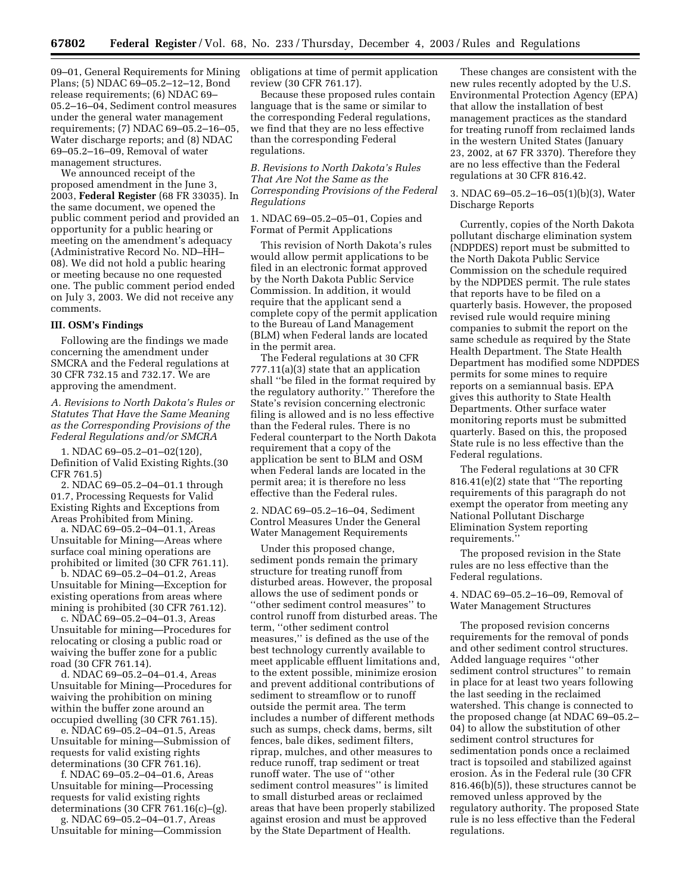09–01, General Requirements for Mining obligations at time of permit application Plans; (5) NDAC 69–05.2–12–12, Bond release requirements; (6) NDAC 69– 05.2–16–04, Sediment control measures under the general water management requirements; (7) NDAC 69–05.2–16–05, Water discharge reports; and (8) NDAC 69–05.2–16–09, Removal of water management structures.

We announced receipt of the proposed amendment in the June 3, 2003, **Federal Register** (68 FR 33035). In the same document, we opened the public comment period and provided an opportunity for a public hearing or meeting on the amendment's adequacy (Administrative Record No. ND–HH– 08). We did not hold a public hearing or meeting because no one requested one. The public comment period ended on July 3, 2003. We did not receive any comments.

#### **III. OSM's Findings**

Following are the findings we made concerning the amendment under SMCRA and the Federal regulations at 30 CFR 732.15 and 732.17. We are approving the amendment.

*A. Revisions to North Dakota's Rules or Statutes That Have the Same Meaning as the Corresponding Provisions of the Federal Regulations and/or SMCRA*

1. NDAC 69–05.2–01–02(120), Definition of Valid Existing Rights.(30 CFR 761.5)

2. NDAC 69–05.2–04–01.1 through 01.7, Processing Requests for Valid Existing Rights and Exceptions from Areas Prohibited from Mining.

a. NDAC 69–05.2–04–01.1, Areas Unsuitable for Mining—Areas where surface coal mining operations are prohibited or limited (30 CFR 761.11).

b. NDAC 69–05.2–04–01.2, Areas Unsuitable for Mining—Exception for existing operations from areas where mining is prohibited (30 CFR 761.12).

c. NDAC 69–05.2–04–01.3, Areas Unsuitable for mining—Procedures for relocating or closing a public road or waiving the buffer zone for a public road (30 CFR 761.14).

d. NDAC 69–05.2–04–01.4, Areas Unsuitable for Mining—Procedures for waiving the prohibition on mining within the buffer zone around an occupied dwelling (30 CFR 761.15).

e. NDAC 69–05.2–04–01.5, Areas Unsuitable for mining—Submission of requests for valid existing rights determinations (30 CFR 761.16).

f. NDAC 69–05.2–04–01.6, Areas Unsuitable for mining—Processing requests for valid existing rights determinations  $(30 \text{ CFR } 761.16(c) - (g)$ .

g. NDAC 69–05.2–04–01.7, Areas Unsuitable for mining—Commission review (30 CFR 761.17).

Because these proposed rules contain language that is the same or similar to the corresponding Federal regulations, we find that they are no less effective than the corresponding Federal regulations.

*B. Revisions to North Dakota's Rules That Are Not the Same as the Corresponding Provisions of the Federal Regulations* 

1. NDAC 69–05.2–05–01, Copies and Format of Permit Applications

This revision of North Dakota's rules would allow permit applications to be filed in an electronic format approved by the North Dakota Public Service Commission. In addition, it would require that the applicant send a complete copy of the permit application to the Bureau of Land Management (BLM) when Federal lands are located in the permit area.

The Federal regulations at 30 CFR 777.11(a)(3) state that an application shall ''be filed in the format required by the regulatory authority.'' Therefore the State's revision concerning electronic filing is allowed and is no less effective than the Federal rules. There is no Federal counterpart to the North Dakota requirement that a copy of the application be sent to BLM and OSM when Federal lands are located in the permit area; it is therefore no less effective than the Federal rules.

2. NDAC 69–05.2–16–04, Sediment Control Measures Under the General Water Management Requirements

Under this proposed change, sediment ponds remain the primary structure for treating runoff from disturbed areas. However, the proposal allows the use of sediment ponds or ''other sediment control measures'' to control runoff from disturbed areas. The term, ''other sediment control measures,'' is defined as the use of the best technology currently available to meet applicable effluent limitations and, to the extent possible, minimize erosion and prevent additional contributions of sediment to streamflow or to runoff outside the permit area. The term includes a number of different methods such as sumps, check dams, berms, silt fences, bale dikes, sediment filters, riprap, mulches, and other measures to reduce runoff, trap sediment or treat runoff water. The use of ''other sediment control measures'' is limited to small disturbed areas or reclaimed areas that have been properly stabilized against erosion and must be approved by the State Department of Health.

These changes are consistent with the new rules recently adopted by the U.S. Environmental Protection Agency (EPA) that allow the installation of best management practices as the standard for treating runoff from reclaimed lands in the western United States (January 23, 2002, at 67 FR 3370). Therefore they are no less effective than the Federal regulations at 30 CFR 816.42.

3. NDAC 69–05.2–16–05(1)(b)(3), Water Discharge Reports

Currently, copies of the North Dakota pollutant discharge elimination system (NDPDES) report must be submitted to the North Dakota Public Service Commission on the schedule required by the NDPDES permit. The rule states that reports have to be filed on a quarterly basis. However, the proposed revised rule would require mining companies to submit the report on the same schedule as required by the State Health Department. The State Health Department has modified some NDPDES permits for some mines to require reports on a semiannual basis. EPA gives this authority to State Health Departments. Other surface water monitoring reports must be submitted quarterly. Based on this, the proposed State rule is no less effective than the Federal regulations.

The Federal regulations at 30 CFR 816.41(e)(2) state that ''The reporting requirements of this paragraph do not exempt the operator from meeting any National Pollutant Discharge Elimination System reporting requirements.''

The proposed revision in the State rules are no less effective than the Federal regulations.

4. NDAC 69–05.2–16–09, Removal of Water Management Structures

The proposed revision concerns requirements for the removal of ponds and other sediment control structures. Added language requires ''other sediment control structures'' to remain in place for at least two years following the last seeding in the reclaimed watershed. This change is connected to the proposed change (at NDAC 69–05.2– 04) to allow the substitution of other sediment control structures for sedimentation ponds once a reclaimed tract is topsoiled and stabilized against erosion. As in the Federal rule (30 CFR 816.46(b)(5)), these structures cannot be removed unless approved by the regulatory authority. The proposed State rule is no less effective than the Federal regulations.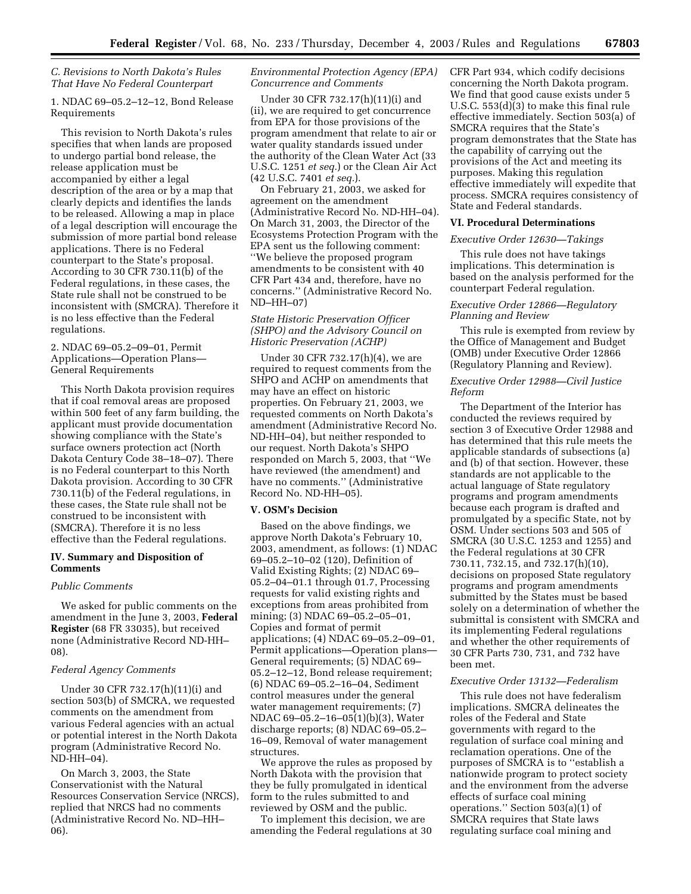# *C. Revisions to North Dakota's Rules That Have No Federal Counterpart*

1. NDAC 69–05.2–12–12, Bond Release Requirements

This revision to North Dakota's rules specifies that when lands are proposed to undergo partial bond release, the release application must be accompanied by either a legal description of the area or by a map that clearly depicts and identifies the lands to be released. Allowing a map in place of a legal description will encourage the submission of more partial bond release applications. There is no Federal counterpart to the State's proposal. According to 30 CFR 730.11(b) of the Federal regulations, in these cases, the State rule shall not be construed to be inconsistent with (SMCRA). Therefore it is no less effective than the Federal regulations.

2. NDAC 69–05.2–09–01, Permit Applications—Operation Plans— General Requirements

This North Dakota provision requires that if coal removal areas are proposed within 500 feet of any farm building, the applicant must provide documentation showing compliance with the State's surface owners protection act (North Dakota Century Code 38–18–07). There is no Federal counterpart to this North Dakota provision. According to 30 CFR 730.11(b) of the Federal regulations, in these cases, the State rule shall not be construed to be inconsistent with (SMCRA). Therefore it is no less effective than the Federal regulations.

## **IV. Summary and Disposition of Comments**

### *Public Comments*

We asked for public comments on the amendment in the June 3, 2003, **Federal Register** (68 FR 33035), but received none (Administrative Record ND-HH– 08).

## *Federal Agency Comments*

Under 30 CFR 732.17(h)(11)(i) and section 503(b) of SMCRA, we requested comments on the amendment from various Federal agencies with an actual or potential interest in the North Dakota program (Administrative Record No. ND-HH–04).

On March 3, 2003, the State Conservationist with the Natural Resources Conservation Service (NRCS), replied that NRCS had no comments (Administrative Record No. ND–HH– 06).

## *Environmental Protection Agency (EPA) Concurrence and Comments*

Under 30 CFR 732.17(h)(11)(i) and (ii), we are required to get concurrence from EPA for those provisions of the program amendment that relate to air or water quality standards issued under the authority of the Clean Water Act (33 U.S.C. 1251 *et seq.*) or the Clean Air Act (42 U.S.C. 7401 *et seq.*).

On February 21, 2003, we asked for agreement on the amendment (Administrative Record No. ND-HH–04). On March 31, 2003, the Director of the Ecosystems Protection Program with the EPA sent us the following comment: ''We believe the proposed program amendments to be consistent with 40 CFR Part 434 and, therefore, have no concerns.'' (Administrative Record No. ND–HH–07)

## *State Historic Preservation Officer (SHPO) and the Advisory Council on Historic Preservation (ACHP)*

Under 30 CFR 732.17(h)(4), we are required to request comments from the SHPO and ACHP on amendments that may have an effect on historic properties. On February 21, 2003, we requested comments on North Dakota's amendment (Administrative Record No. ND-HH–04), but neither responded to our request. North Dakota's SHPO responded on March 5, 2003, that ''We have reviewed (the amendment) and have no comments.'' (Administrative Record No. ND-HH–05).

### **V. OSM's Decision**

Based on the above findings, we approve North Dakota's February 10, 2003, amendment, as follows: (1) NDAC 69–05.2–10–02 (120), Definition of Valid Existing Rights; (2) NDAC 69– 05.2–04–01.1 through 01.7, Processing requests for valid existing rights and exceptions from areas prohibited from mining; (3) NDAC 69–05.2–05–01, Copies and format of permit applications; (4) NDAC 69–05.2–09–01, Permit applications—Operation plans— General requirements; (5) NDAC 69– 05.2–12–12, Bond release requirement; (6) NDAC 69–05.2–16–04, Sediment control measures under the general water management requirements; (7) NDAC 69–05.2–16–05(1)(b)(3), Water discharge reports; (8) NDAC 69–05.2– 16–09, Removal of water management structures.

We approve the rules as proposed by North Dakota with the provision that they be fully promulgated in identical form to the rules submitted to and reviewed by OSM and the public.

To implement this decision, we are amending the Federal regulations at 30 CFR Part 934, which codify decisions concerning the North Dakota program. We find that good cause exists under 5 U.S.C. 553(d)(3) to make this final rule effective immediately. Section 503(a) of SMCRA requires that the State's program demonstrates that the State has the capability of carrying out the provisions of the Act and meeting its purposes. Making this regulation effective immediately will expedite that process. SMCRA requires consistency of State and Federal standards.

## **VI. Procedural Determinations**

## *Executive Order 12630—Takings*

This rule does not have takings implications. This determination is based on the analysis performed for the counterpart Federal regulation.

# *Executive Order 12866—Regulatory Planning and Review*

This rule is exempted from review by the Office of Management and Budget (OMB) under Executive Order 12866 (Regulatory Planning and Review).

## *Executive Order 12988—Civil Justice Reform*

The Department of the Interior has conducted the reviews required by section 3 of Executive Order 12988 and has determined that this rule meets the applicable standards of subsections (a) and (b) of that section. However, these standards are not applicable to the actual language of State regulatory programs and program amendments because each program is drafted and promulgated by a specific State, not by OSM. Under sections 503 and 505 of SMCRA (30 U.S.C. 1253 and 1255) and the Federal regulations at 30 CFR 730.11, 732.15, and 732.17(h)(10), decisions on proposed State regulatory programs and program amendments submitted by the States must be based solely on a determination of whether the submittal is consistent with SMCRA and its implementing Federal regulations and whether the other requirements of 30 CFR Parts 730, 731, and 732 have been met.

### *Executive Order 13132—Federalism*

This rule does not have federalism implications. SMCRA delineates the roles of the Federal and State governments with regard to the regulation of surface coal mining and reclamation operations. One of the purposes of SMCRA is to ''establish a nationwide program to protect society and the environment from the adverse effects of surface coal mining operations." Section  $503(a)(1)$  of SMCRA requires that State laws regulating surface coal mining and